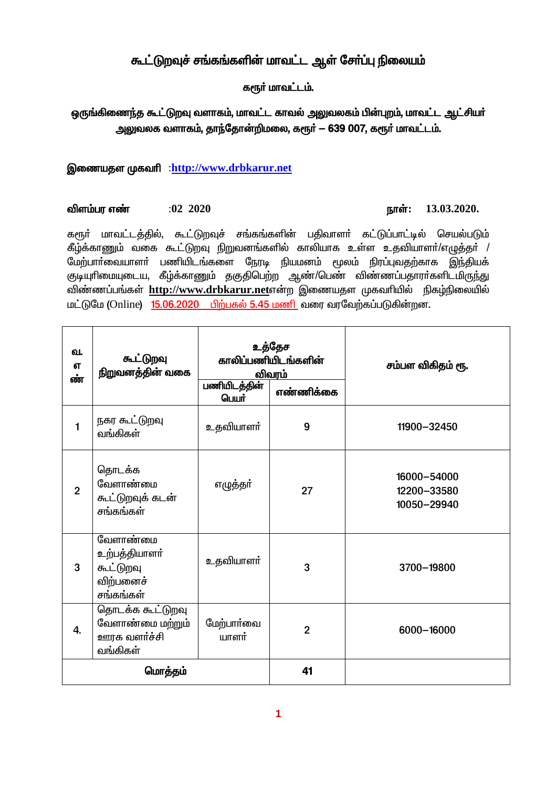# கூட்டுறவுச் சங்கங்களின் மாவட்ட ஆள் சேர்ப்பு நிலையம்

### களூர் மாவட்டம்.

## ஒருங்கிணைந்த கூட்டுறவு வளாகம், மாவட்ட காவல் அலுவலகம் பின்புறம், மாவட்ட ஆட்சியர் அலுவலக வளாகம், தாந்தோன்றிமலை, கரூர் — 639 007, கரூர் மாவட்டம்.

### இணையதள முகவரி :http://www.drbkarur.net

#### விளம்பர எண்  $:02$  2020

### நாள்:  $13.03.2020$ .

கரூர் மாவட்டத்தில், கூட்டுறவுச் சங்கங்களின் பதிவாளர் கட்டுப்பாட்டில் செயல்படும் கீழ்க்காணும் வகை கூட்டுறவு நிறுவனங்களில் காலியாக உள்ள உதவியாளா்/எழுத்தா் / மேற்பார்வையாளர் பணியிடங்களை நேரடி நியமனம் மூலம் நிரப்புவதற்காக இந்தியக் குடியுரிமையுடைய, கீழ்க்காணும் தகுதிபெற்ற ஆண்/பெண் விண்ணப்பதாராகளிடமிருந்து விண்ணப்பங்கள் http://www.drbkarur.netஎன்ற இணையதள முகவரியில் நிகழ்நிலையில் மட்டுமே (Online) 15.06.2020 பிற்பகல் 5.45 மணி வரை வரவேற்கப்படுகின்றன.

| வ.<br>எ<br>ண்  | கூட்டுறவு<br>நிறுவனத்தின் வகை                                    | உத்தேச<br>காலிப்பணியிடங்களின்<br>எண்ணிக்கை<br>பெயர் |                | சம்பள விகிதம் ரூ.                         |
|----------------|------------------------------------------------------------------|-----------------------------------------------------|----------------|-------------------------------------------|
| $\mathbf{1}$   | நகர கூட்டுறவு<br>வங்கிகள்                                        | உதவியாளா்                                           | 9              | 11900-32450                               |
| $\overline{2}$ | தொடக்க<br>வேளாண்மை<br>கூட்டுறவுக் கடன்<br>சங்கங்கள்              | எழுத்தா்                                            | 27             | 16000-54000<br>12200-33580<br>10050-29940 |
| 3              | வேளாண்மை<br>உற்பத்தியாளா்<br>கூட்டுறவு<br>விற்பனைச்<br>சங்கங்கள் | உதவியாளர்                                           | 3              | 3700-19800                                |
| 4.             | தொடக்க கூட்டுறவு<br>வேளாண்மை மற்றும்<br>ஊரக வளர்ச்சி<br>வங்கிகள் | மேற்பார்வை<br>யாளர்                                 | $\overline{2}$ | 6000-16000                                |
| மொத்தம்        |                                                                  |                                                     | 41             |                                           |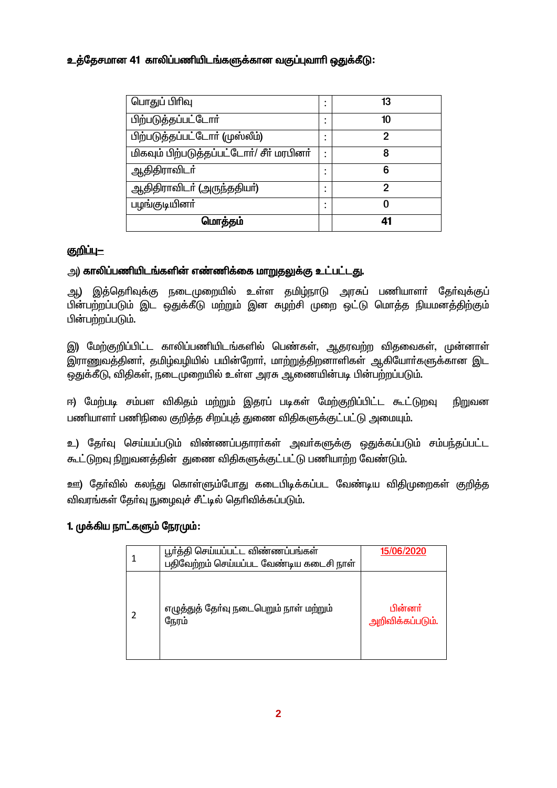## உத்தேசமான 41 காலிப்பணியிடங்களுக்கான வகுப்புவாரி ஒதுக்கீடு:

| பொதுப் பிரிவு                             |  | 13 |
|-------------------------------------------|--|----|
| பிற்படுத்தப்பட்டோர்                       |  | 10 |
| பிற்படுத்தப்பட்டோர் (முஸ்லீம்)            |  | 2  |
| மிகவும் பிற்படுத்தப்பட்டோர்/ சீர் மரபினர் |  | 8  |
| ஆதிதிராவிடா்                              |  | 6  |
| ஆதிதிராவிடா் (அருந்ததியா்)                |  | 2  |
| பழங்குடியினா்                             |  | O  |
| மொத்தம்                                   |  | 41 |

### <u>குறிப்ப—</u>

## அ) காலிப்பணியிடங்களின் எண்ணிக்கை மாறுதலுக்கு உட்பட்டது.

அ.) இத்தெரிவுக்கு நடைமுறையில் உள்ள தமிம்நாடு அரசுப் பணியாளர் தேர்வுக்குப் பின்பற்றப்படும் இட ஒதுக்கீடு மற்றும் இன சுழற்சி முறை ஒட்டு மொத்த நியமனத்திற்கும் பின்பற்றப்படும்.

இ) மேற்குறிப்பிட்ட காலிப்பணியிடங்களில் பெண்கள், ஆதரவற்ற விதவைகள், முன்னாள் இராணுவத்தினர், தமிழ்வழியில் பயின்றோர், மாற்றுத்திறனாளிகள் ஆகியோர்களுக்கான இட ஒதுக்கீடு, விதிகள், நடைமுறையில் உள்ள அரசு ஆணையின்படி பின்பற்றப்படும்.

ஈ) மேற்படி சம்பள விகிதம் மற்றும் இதரப் படிகள் மேற்குறிப்பிட்ட கூட்டுறவு நிறுவன பணியாளா் பணிநிலை குறித்த சிறப்புத் துணை விதிகளுக்குட்பட்டு அமையும்.

உ) தோ்வு செய்யப்படும் விண்ணப்பதாரா்கள் அவா்களுக்கு ஒதுக்கப்படும் சம்பந்தப்பட்ட கூட்டுறவு நிறுவனத்தின் துணை விதிகளுக்குட்பட்டு பணியாற்ற வேண்டும்.

ஊ) தோ்வில் கலந்து கொள்ளும்போது கடைபிடிக்கப்பட வேண்டிய விதிமுறைகள் குறித்த விவரங்கள் தேர்வு நுழைவுச் சீட்டில் தெரிவிக்கப்படும்.

## 1. முக்கிய நாட்களும் நேரமும்:

| பூர்த்தி செய்யப்பட்ட விண்ணப்பங்கள்<br>பதிவேற்றம் செய்யப்பட வேண்டிய கடைசி நாள் | 15/06/2020                  |
|-------------------------------------------------------------------------------|-----------------------------|
| எழுத்துத் தோ்வு நடைபெறும் நாள் மற்றும்<br>நேரம்                               | பின்னர்<br>அறிவிக்கப்படும். |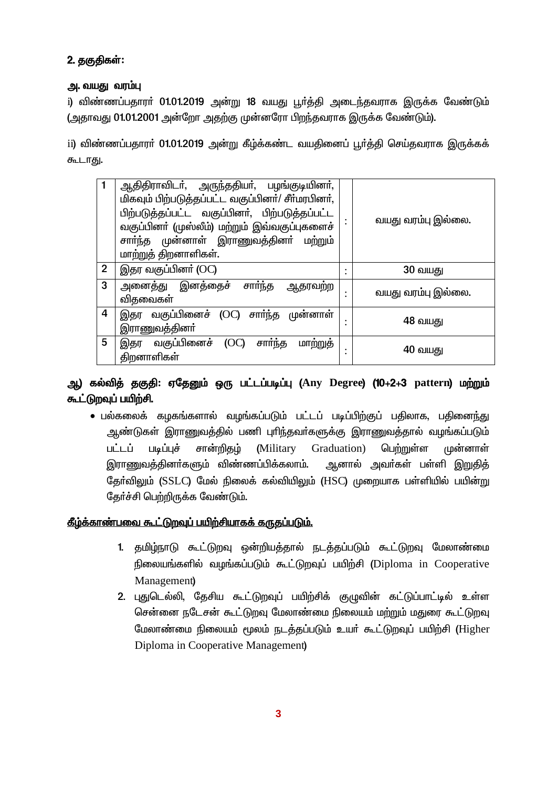## 2. தகுதிகள்:

### அ. வயது வரம்பு

i) விண்ணப்பதாரா் 01.01.2019 அன்று 18 வயது பூா்த்தி அடைந்தவராக இருக்க வேண்டும் (அதாவது 01.01.2001 அன்றோ அதற்கு முன்னரோ பிறந்தவராக இருக்க வேண்டும்).

ii) விண்ணப்பதாரா் 01.01.2019 அன்று கீழ்க்கண்ட வயதினைப் பூா்த்தி செய்தவராக இருக்கக் கூடாது.

|             | ஆதிதிராவிடா், அருந்ததியா், பழங்குடியினா்,<br>மிகவும் பிற்படுத்தப்பட்ட வகுப்பினர்/ சீர்மரபினர்,<br>பிற்படுத்தப்பட்ட வகுப்பினர், பிற்படுத்தப்பட்ட<br>வகுப்பினா் (முஸ்லீம்) மற்றும் இவ்வகுப்புகளைச்<br>சாா்ந்த முன்னாள் இராணுவத்தினா் மற்றும்<br><u>மாற்றுத்</u> திறனாளிகள். | வயது வரம்பு இல்லை. |
|-------------|---------------------------------------------------------------------------------------------------------------------------------------------------------------------------------------------------------------------------------------------------------------------------|--------------------|
| $\mathbf 2$ | இதர வகுப்பினா் (OC)                                                                                                                                                                                                                                                       | <b>30 வயது</b>     |
| 3           | அனைத்து இனத்தைச் சாா்ந்த<br>ஆதரவற்ற<br>விதவைகள்                                                                                                                                                                                                                           | வயது வரம்பு இல்லை. |
| 4           | இதர வகுப்பினைச் (OC) சார்ந்த முன்னாள்<br>இராணுவத்தினா்                                                                                                                                                                                                                    | 48 வயது            |
| 5           | சார்ந்த<br>மாற்றுத்<br>இதர வகுப்பினைச்<br>(OC)<br>திறனாளிகள்                                                                                                                                                                                                              | 40 வயது            |

## ஆ) கல்வித் தகுதி: ஏதேனும் ஒரு பட்டப்படிப்பு (Any Degree) (10+2+3 pattern) மற்றும் கூட்டுறவுப் பயிற்சி.

• பல்கலைக் கமுகங்களால் வழங்கப்படும் பட்டப் படிப்பிற்குப் பதிலாக, பதினைந்து ஆண்டுகள் இராணுவத்தில் பணி புரிந்தவா்களுக்கு இராணுவத்தால் வழங்கப்படும் பட்டப் படிப்புச் சான்றிகும் (Military Graduation) பெற்றுள்ள முன்னாள் இராணுவத்தினர்களும் விண்ணப்பிக்கலாம். அனால் அவர்கள் பள்ளி இறுதித் தேர்விலும் (SSLC) மேல் நிலைக் கல்வியிலும் (HSC) முறையாக பள்ளியில் பயின்று கேர்ச்சி பெற்றிருக்க வேண்டும்.

## <u>கீழ்க்காண்பவை கூட்டுறவுப் பயிற்சியாகக் கருதப்படும்.</u>

- 1. தமிழ்நாடு கூட்டுறவு ஒன்றியத்தால் நடத்தப்படும் கூட்டுறவு மேலாண்மை நிலையங்களில் வழங்கப்படும் கூட்டுறவுப் பயிற்சி (Diploma in Cooperative Management)
- 2. புதுடெல்லி, தேசிய கூட்டுறவுப் பயிற்சிக் குழுவின் கட்டுப்பாட்டில் உள்ள சென்னை நடேசன் கூட்டுறவு மேலாண்மை நிலையம் மற்றும் மதுரை கூட்டுறவு மேலாண்மை நிலையம் மூலம் நடத்தப்படும் உயர் கூட்டுறவுப் பயிற்சி (Higher Diploma in Cooperative Management)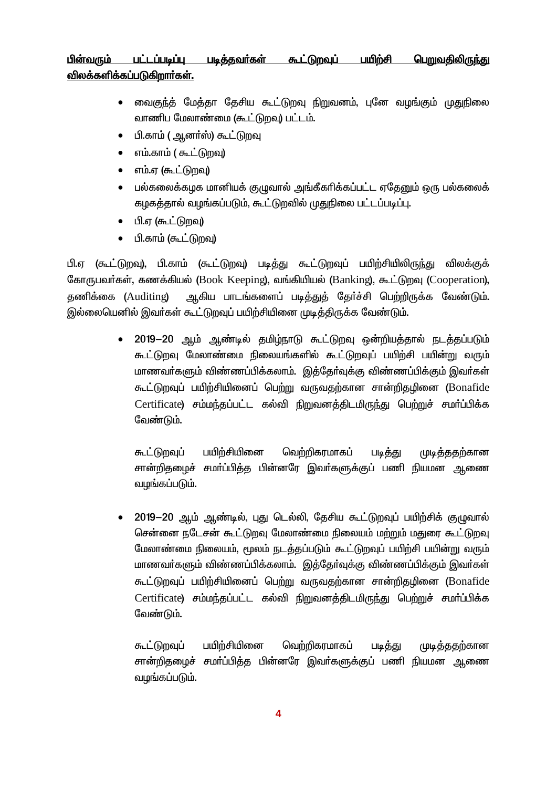#### <u>பெறுவகிலிருந்</u>கு பட்டப்படிப்பு படித்தவர்கள் <u> கூட்டுறவுப்</u> பயிற்சி பின்வரும் விலக்களிக்கப்படுகிறார்கள்.

- வைகுந்த் மேத்தா தேசிய கூட்டுறவு நிறுவனம், புனே வழங்கும் முதுநிலை வாணிப மேலாண்மை (கூட்டுறவு) பட்டம்.
- பி.காம் ( ஆனர்ஸ்) கூட்டுறவு
- எம்.காம் ( கூட்டுறவு)  $\bullet$
- எம்.ஏ (கூட்டுறவு)  $\bullet$
- பல்கலைக்கமுக மானியக் குமுவால் அங்கீகரிக்கப்பட்ட ஏதேனும் ஒரு பல்கலைக்  $\bullet$ கழகத்தால் வழங்கப்படும், கூட்டுறவில் முதுநிலை பட்டப்படிப்பு.
- பி.ஏ (கூட்டுறவு)
- பி.காம் (கூட்டுறவு)

பி.ஏ (கூட்டுறவு), பி.காம் (கூட்டுறவு) படித்து கூட்டுறவுப் பயிற்சியிலிருந்து விலக்குக் கோருபவர்கள், கணக்கியல் (Book Keeping), வங்கியியல் (Banking), கூட்டுறவு (Cooperation), ஆகிய பாடங்களைப் படித்துத் தேர்ச்சி பெற்றிருக்க வேண்டும். கணிக்கை (Auditing) இல்லையெனில் இவர்கள் கூட்டுறவுப் பயிற்சியினை முடித்திருக்க வேண்டும்.

> 2019-20 ஆம் ஆண்டில் தமிழ்நாடு கூட்டுறவு ஒன்றியத்தால் நடத்தப்படும் கூட்டுறவு மேலாண்மை நிலையங்களில் கூட்டுறவுப் பயிற்சி பயின்று வரும் மாணவர்களும் விண்ணப்பிக்கலாம். இத்தேர்வுக்கு விண்ணப்பிக்கும் இவர்கள் கூட்டுறவுப் பயிற்சியினைப் பெற்று வருவதற்கான சான்றிதழினை (Bonafide  $\text{Certificate}$ ) சம்மந்தப்பட்ட கல்வி நிறுவனத்திடமிருந்து பெற்றுச் சமர்ப்பிக்க வேண்டும்.

கூட்டுறவுப் பயிற்சியினை வெற்றிகரமாகப் முடித்ததற்கான படித்து சான்றிதழைச் சமா்ப்பித்த பின்னரே இவா்களுக்குப் பணி நியமன ஆணை வழங்கப்படும்.

2019-20 ஆம் ஆண்டில், புது டெல்லி, தேசிய கூட்டுறவுப் பயிற்சிக் குமுவால் சென்னை நடேசன் கூட்டுறவு மேலாண்மை நிலையம் மற்றும் மதுரை கூட்டுறவு மேலாண்மை நிலையம், மூலம் நடத்தப்படும் கூட்டுறவுப் பயிற்சி பயின்று வரும் மாணவா்களும் விண்ணப்பிக்கலாம். இத்தோ்வுக்கு விண்ணப்பிக்கும் இவா்கள் கூட்டுறவுப் பயிற்சியினைப் பெற்று வருவதற்கான சான்றிதழினை (Bonafide Certificate) சம்மந்தப்பட்ட கல்வி நிறுவனத்திடமிருந்து பெற்றுச் சமர்ப்பிக்க வேண்டும்.

வெற்றிகரமாகப் பயிற்சியினை கூட்டுறவுப் படித்து முடித்ததற்கான சான்றிதழைச் சமா்ப்பித்த பின்னரே இவா்களுக்குப் பணி நியமன ஆணை வழங்கப்படும்.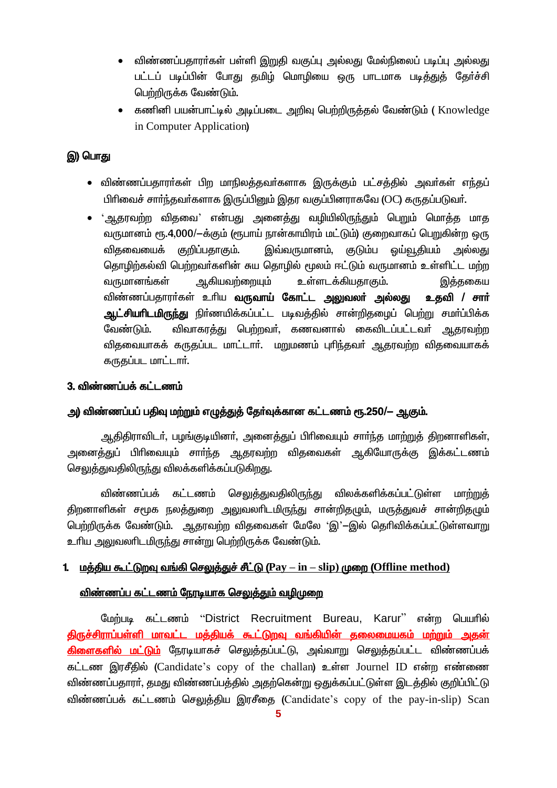- விண்ணப்பதாரா்கள் பள்ளி இறுதி வகுப்பு அல்லது மேல்நிலைப் படிப்பு அல்லது பட்டப் படிப்பின் போது தமிம் மொழியை ஒரு பாடமாக படித்துத் தேர்ச்சி பெற்றிருக்க வேண்டும்.
- கணினி பயன்பாட்டில் அடிப்படை அறிவு பெற்றிருத்தல் வேண்டும் ( Knowledge in Computer Application

## இ) பொது

- விண்ணப்பதாரா்கள் பிற மாநிலத்தவா்களாக இருக்கும் பட்சத்தில் அவா்கள் எந்தப் பிரிவைச் சார்ந்தவர்களாக இருப்பினும் இதர வகுப்பினராகவே (OC) கருதப்படுவர்.
- ்ஆதரவற்ற விதவை' என்பது அனைத்து வழியிலிருந்தும் பெறும் மொத்த மாத வருமானம் ரூ.4,000/-க்கும் (ரூபாய் நான்காயிரம் மட்டும்) குறைவாகப் பெறுகின்ற ஒரு விகவையைக் குறிப்பதாகும். இவ்வருமானம், குடும்ப ஒய்வூதியம் அல்லது தொழிற்கல்வி பெற்றவா்களின் சுய தொழில் மூலம் ஈட்டும் வருமானம் உள்ளிட்ட மற்ற வருமானங்கள் ஆகியவற்றையும் உள்ளடக்கியதாகும். இத்தகைய விண்ணப்பதாரா்கள் உரிய **வருவாய் கோட்ட அலுவலா் அல்லது உதவி / சாா்** <mark>ஆட்சியரிடமிருந்து</mark> நிர்ணயிக்கப்பட்ட படிவத்தில் சான்றிதமைப் பெற்று சமர்ப்பிக்க விவாகரத்து பெற்றவர், கணவனால் கைவிடப்பட்டவர் ஆதரவற்ற வேண்டும். விதவையாகக் கருதப்பட மாட்டார். மறுமணம் புரிந்தவர் ஆதரவற்ற விதவையாகக் கருகப்பட மாட்டார்.

## 3. விண்ணப்பக் கட்டணம்

## அ) விண்ணப்பப் பதிவு மற்றும் எழுத்துத் தேர்வுக்கான கட்டணம் ரூ.250/— ஆகும்.

ஆதிதிராவிடர், பழங்குடியினர், அனைத்துப் பிரிவையும் சார்ந்த மாற்றுத் திறனாளிகள், அனைத்துப் பிரிவையும் சாா்ந்த ஆதரவற்ற விதவைகள் ஆகியோருக்கு இக்கட்டணம் செலுத்துவதிலிருந்து விலக்களிக்கப்படுகிறது.

விண்ணப்பக் கட்டணம் செலுத்துவதிலிருந்து விலக்களிக்கப்பட்டுள்ள மாற்றுத் திறனாளிகள் சமூக நலத்துறை அலுவலரிடமிருந்து சான்றிதமும், மருத்துவச் சான்றிதமும் பெற்றிருக்க வேண்டும். ஆதரவற்ற விதவைகள் மேலே 'இ'—இல் தெரிவிக்கப்பட்டுள்ளவாறு உரிய அலுவலரிடமிருந்து சான்று பெற்றிருக்க வேண்டும்.

## 1. மத்திய கூட்டுறவு வங்கி செலுத்துச் சீட்டு ( $\rm{Pay-in-slip}$ ) முறை (Offline method)

### <u>விண்ணப்ப கட்டணம் நேரடியாக செலுத்தும் வழிமுறை</u>

மேற்படி கட்டணம் "District Recruitment Bureau, Karur" என்ற பெயரில் <u>திருச்சிராப்பள்ளி மாவட்ட மத்தியக் கூட்டுறவு வங்கியின் தலைமையகம் மற்றும் அதன்</u> <mark>கிளைகளில் மட்டும்</mark> நேரடியாகச் செலுத்தப்பட்டு, அவ்வாறு செலுத்தப்பட்ட விண்ணப்பக் கட்டண இரசீகில் (Candidate's copy of the challan) உள்ள Journel ID என்ற எண்ணை விண்ணப்பதாரர், தமது விண்ணப்பத்தில் அதற்கென்று ஒதுக்கப்பட்டுள்ள இடத்தில் குறிப்பிட்டு விண்ணப்பக் கட்டணம் செலுத்திய இரசீதை (Candidate's copy of the pay-in-slip) Scan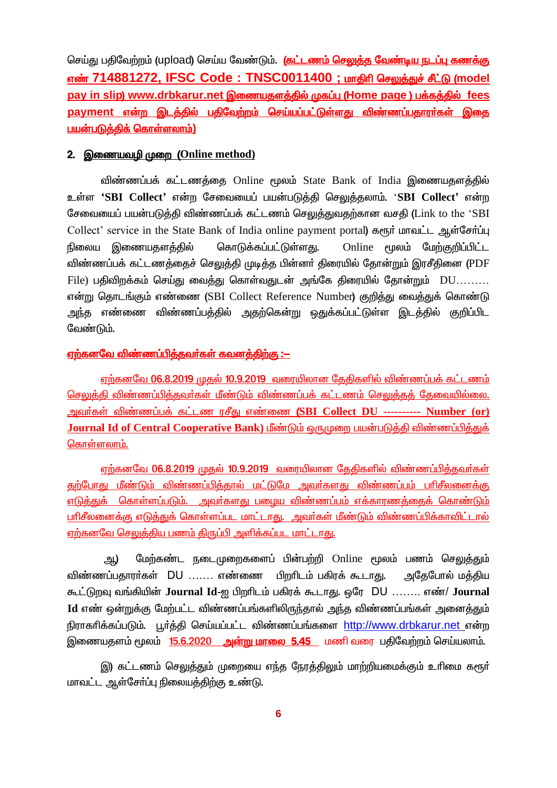செய்து பதிவேற்றம் (upload) செய்ய வேண்டும். (கட்டணம் செலுத்த வேண்டிய நடப்பு கணக்கு எண் 714881272, IFSC Code: TNSC0011400 ; மாகிரி செலுக்குச் சீட்டு (model pay in slip) www.drbkarur.net இணையதளத்தில் முகப்பு (Home page ) பக்கத்தில் fees payment என்ற இடத்தில் பதிவேற்றம் செய்யப்பட்டுள்ளது விண்ணப்பதாரர்கள் இதை பயன்படுத்திக் கொள்ளலாம்)

### 2. இணையவழி முறை (Online method)

விண்ணப்பக் கட்டணத்தை Online மூலம் State Bank of India இணையதளத்தில் உள்ள 'SBI Collect' என்ற சேவையைப் பயன்படுத்தி செலுத்தலாம். 'SBI Collect' என்ற சேவையைப் பயன்படுத்தி விண்ணப்பக் கட்டணம் செலுத்துவதற்கான வசதி (Link to the 'SBI Collect' service in the State Bank of India online payment portal) கரூர் மாவட்ட ஆள்சேர்ப்பு கொடுக்கப்பட்டுள்ளது. Online மூலம் மேற்குறிப்பிட்ட நிலைய இணையதளத்தில் விண்ணப்பக் கட்டணக்கைச் செலுக்கி முடிக்க பின்னர் கிரையில் கோன்றும் இரசீகினை (PDF File) பதிவிறக்கம் செய்து வைத்து கொள்வதுடன் அங்கே திரையில் தோன்றும் DU......... என்று தொடங்கும் எண்ணை (SBI Collect Reference Number) குறித்து வைத்துக் கொண்டு அந்த எண்ணை விண்ணப்பத்தில் அதற்கென்று ஒதுக்கப்பட்டுள்ள இடத்தில் குறிப்பிட வேண்டும்.

### <u>ஏற்கனவே விண்ணப்பித்தவர்கள் கவனத்திற்கு :—</u>

<u>ஏற்கனவே 06.8.2019 முதல் 10.9.2019 வரையிலான தேதிகளில் விண்ணப்பக் கட்டணம்</u> செலுத்தி விண்ணப்பித்தவர்கள் மீண்டும் விண்ணப்பக் கட்டணம் செலுத்தத் தேவையில்லை. அவர்கள் விண்ணப்பக் கட்டண ரசீது எண்ணை (SBI Collect DU ---------- Number (or) Journal Id of Central Cooperative Bank) மீண்டும் தெயுமறை பயன்படுக்கி விண்ணப்பிக்குக் <u>கொள்ளலாம்.</u>

எற்கனவே 06.8.2019 முதல் 10.9.2019 வரையிலான தேதிகளில் விண்ணப்பித்தவர்கள் தற்போது மீண்டும் விண்ணப்பித்தால் மட்டுமே அவர்களது விண்ணப்பம் பரிசீலனைக்கு எடுத்துக் கொள்ளப்படும். அவர்களது பழைய விண்ணப்பம் எக்காரணத்தைக் கொண்டும் பரிசீலனைக்கு எடுக்குக் கொள்ளப்பட மாட்டாகுட அவர்கள் மீண்டும் விண்ணப்பிக்காவிட்டால் ஏற்கனவே செலுத்திய பணம் திருப்பி அளிக்கப்பட மாட்டாது.

மேற்கண்ட நடைமுறைகளைப் பின்பற்றி Online மூலம் பணம் செலுக்தும் அ.) விண்ணப்பதாரர்கள் DU ....... எண்ணை பிறரிடம் பகிரக் கூடாது. அதேபோல் மத்திய கூட்டுறவு வங்கியின் Journal Id-ஐ பிறரிடம் பகிரக் கூடாது. ஒரே DU ........ எண்/ Journal Id எண் ஒன்றுக்கு மேற்பட்ட விண்ணப்பங்களிலிருந்தால் அந்த விண்ணப்பங்கள் அனைத்தும் நிராகரிக்கப்படும். பூர்த்தி செய்யப்பட்ட விண்ணப்பங்களை http://www.drbkarur.net என்ற இணையதளம் மூலம் 15.6.2020 ஆன்று மாலை 5.45 மணி வரை பதிவேற்றம் செய்யலாம்.

இ) கட்டணம் செலுத்தும் முறையை எந்த நேரத்திலும் மாற்றியமைக்கும் உரிமை கரூர் மாவட்ட ஆள்சோ்ப்பு நிலையத்திற்கு உண்டு.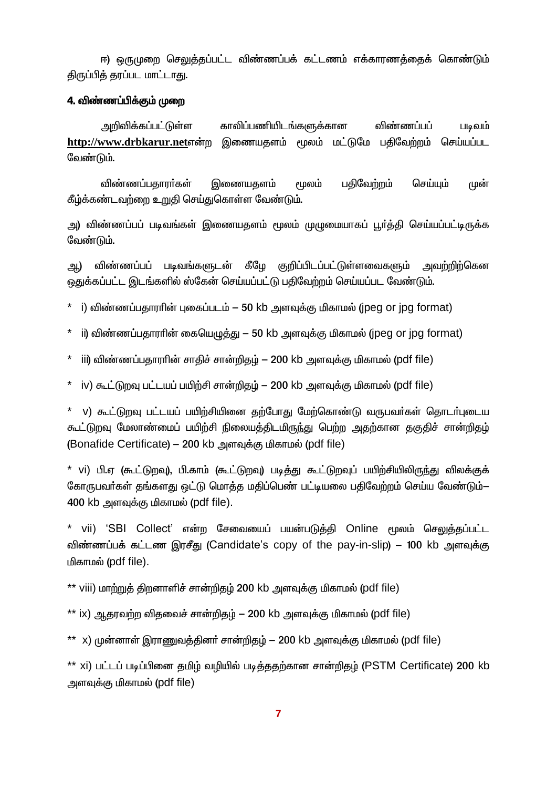ஈ) ஒருமுறை செலுக்கப்பட்ட விண்ணப்பக் கட்டணம் எக்காாணக்கைக் கொண்டும் திருப்பித் தரப்பட மாட்டாது.

### 4. விண்ணப்பிக்கும் முறை

அறிவிக்கப்பட்டுள்ள காலிப்பணியிடங்களுக்கான விண்ணப்பப் படிவம் http://www.drbkarur.netஎன்ற இணையகளம் மூலம் மட்டுமே பகிவேற்றம் செய்யப்பட வேண்டும்.

பதிவேற்றம் விண்ணப்பதாரா்கள் இணையதளம் மூலம் செய்யும் முன் கீழ்க்கண்டவற்றை உறுதி செய்துகொள்ள வேண்டும்.

அ) விண்ணப்பப் படிவங்கள் இணையதளம் மூலம் முழுமையாகப் பூர்த்தி செய்யப்பட்டிருக்க வேண்டும்.

விண்ணப்பப் படிவங்களுடன் கீழே குறிப்பிடப்பட்டுள்ளவைகளும் அவற்றிற்கென ஆ) ஒதுக்கப்பட்ட இடங்களில் ஸ்கேன் செய்யப்பட்டு பதிவேற்றம் செய்யப்பட வேண்டும்.

- ்டு விண்ணப்பகாாரின் பகைப்படம் 50 kb அளவக்கு மிகாமல் (ipeg or ipg format)
- $*$  ii) விண்ணப்பதாரரின் கையெழுத்து 50 kb அளவுக்கு மிகாமல் (jpeg or jpg format)
- \* iii) விண்ணப்பதாராின் சாதிச் சான்றிதழ் 200 kb அளவுக்கு மிகாமல் (pdf file)
- $*$  iv) கூட்டுறவு பட்டயப் பயிற்சி சான்றிதழ் 200 kb அளவுக்கு மிகாமல் (pdf file)

\* v) கூட்டுறவு பட்டயப் பயிற்சியினை தற்போது மேற்கொண்டு வருபவர்கள் தொடர்புடைய கூட்டுறவு மேலாண்மைப் பயிற்சி நிலையத்திடமிருந்து பெற்ற அதற்கான தகுதிச் சான்றிதம் (Bonafide Certificate) – 200 kb அளவுக்கு மிகாமல் (pdf file)

\* vi) பி.ஏ (கூட்டுறவு), பி.காம் (கூட்டுறவு) படித்து கூட்டுறவுப் பயிற்சியிலிருந்து விலக்குக் கோருபவர்கள் தங்களது ஒட்டு மொத்த மதிப்பெண் பட்டியலை பதிவேற்றம் செய்ய வேண்டும்— 400 kb அளவுக்கு மிகாமல் (pdf file).

\* vii) 'SBI Collect' என்ற சேவையைப் பயன்படுத்தி Online மூலம் செலுத்தப்பட்ட விண்ணப்பக் கட்டண இரசீது (Candidate's copy of the pay-in-slip) – 100 kb அளவுக்கு மிகாமல் (pdf file).

\*\* viii) மாற்றுத் திறனாளிச் சான்றிதழ் 200 kb அளவுக்கு மிகாமல் (pdf file)

\*\* ix) ஆகரவற்ற விகவைச் சான்றிதழ் — 200 kb அளவுக்கு மிகாமல் (pdf file)

\*\* x) முன்னாள் இாாணுவக்கினர் சான்றிகம் — 200 kb அளவக்கு மிகாமல் (pdf file)

\*\* xi) பட்டப் படிப்பினை தமிழ் வழியில் படித்ததற்கான சான்றிதழ் (PSTM Certificate) 200 kb அளவுக்கு மிகாமல் (pdf file)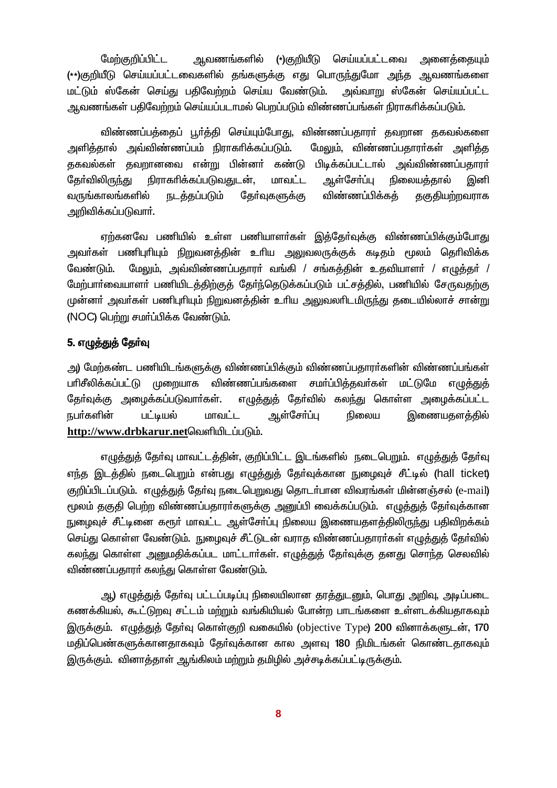மேற்குறிப்பிட்ட ஆவணங்களில் (\*)குறியீடு செய்யப்பட்டவை அனைத்தையும் (\*\*)குறியீடு செய்யப்பட்டவைகளில் தங்களுக்கு எது பொருந்துமோ அந்த ஆவணங்களை மட்டும் ஸ்கேன் செய்து பதிவேற்றம் செய்ய வேண்டும். அவ்வாறு ஸ்கேன் செய்யப்பட்ட ஆவணங்கள் பதிவேற்றம் செய்யப்படாமல் பெறப்படும் விண்ணப்பங்கள் நிராகரிக்கப்படும்.

விண்ணப்பத்தைப் பூர்த்தி செய்யும்போது, விண்ணப்பதாரர் தவறான தகவல்களை அளித்தால் அவ்விண்ணப்பம் நிராகரிக்கப்படும். மேலும், விண்ணப்பதாரா்கள் அளித்த தகவல்கள் தவறானவை என்<u>று</u> பின்னர் கண்டு பிடிக்கப்பட்டால் அவ்விண்ணப்பதாரா் கேர்விலிருந்து நிராகரிக்கப்படுவகுடன். மாவட்ட ஆள்சோப்பு நிலையக்கால் இனி வருங்காலங்களில் விண்ணப்பிக்கத் நடத்தப்படும் தோ்வுகளுக்கு தகுதியற்றவராக அறிவிக்கப்படுவார்.

ஏற்கனவே பணியில் உள்ள பணியாளா்கள் இத்தோ்வுக்கு விண்ணப்பிக்கும்போது அவா்கள் பணிபுரியும் நிறுவனத்தின் உரிய அலுவலருக்குக் கடிதம் மூலம் தெரிவிக்க மேலும், அவ்விண்ணப்பதாரா் வங்கி / சங்கத்தின் உதவியாளா் / எழுத்தா் / வேண்டும். மேற்பார்வையாளர் பணியிடத்திற்குத் தேர்ந்தெடுக்கப்படும் பட்சத்தில், பணியில் சேருவதற்கு முன்னா் அவா்கள் பணிபுாியும் நிறுவனத்தின் உாிய அலுவலாிடமிருந்து தடையில்லாச் சான்று (NOC) பெற்று சமர்ப்பிக்க வேண்டும்.

### 5. எழுத்துத் தேர்வு

அ) மேற்கண்ட பணியிடங்களுக்கு விண்ணப்பிக்கும் விண்ணப்பதாரா்களின் விண்ணப்பங்கள் பரிசீலிக்கப்பட்டு முறையாக விண்ணப்பங்களை சமா்ப்பித்தவா்கள் மட்டுமே எழுத்துத் தேர்வுக்கு அழைக்கப்படுவார்கள். எழுத்துத் தேர்வில் கலந்து கொள்ள அழைக்கப்பட்ட நபர்களின் பட்டியல் மாவட்ட ஆள்சோப்பு இணையகளக்கில் நிலைய http://www.drbkarur.netவெளியிடப்படும்.

எழுத்துத் தேர்வு மாவட்டத்தின், குறிப்பிட்ட இடங்களில் நடைபெறும். எழுத்துத் தேர்வு எந்த இடத்தில் நடைபெறும் என்பது எழுத்துத் தேர்வுக்கான நுழைவுச் சீட்டில் (hall ticket) குறிப்பிடப்படும். எழுத்துத் தேர்வு நடைபெறுவது தொடர்பான விவரங்கள் மின்னஞ்சல் (e-mail) மூலம் தகுதி பெற்ற விண்ணப்பதாரா்களுக்கு அனுப்பி வைக்கப்படும். எழுத்துத் தோ்வுக்கான நுழைவுச் சீட்டினை கரூா் மாவட்ட ஆள்சோ்ப்பு நிலைய இணையதளத்திலிருந்து பதிவிறக்கம் செய்து கொள்ள வேண்டும். நுழைவுச் சீட்டுடன் வராத விண்ணப்பதாரர்கள் எமுக்துத் தேர்வில் கலந்து கொள்ள அனுமதிக்கப்பட மாட்டார்கள். எமுத்துக் தேர்வுக்கு தனது சொந்த செலவில் விண்ணப்பதாரா் கலந்து கொள்ள வேண்டும்.

அ) எழுத்துத் தேர்வு பட்டப்படிப்பு நிலையிலான தரத்துடனும், பொது அறிவு, அடிப்படை கணக்கியல், கூட்டுறவு சட்டம் மற்றும் வங்கியியல் போன்ற பாடங்களை உள்ளடக்கியதாகவும் இருக்கும். எழுத்துத் தேர்வு கொள்குறி வகையில் (objective Type) 200 வினாக்களுடன், 170 மதிப்பெண்களுக்கானதாகவும் தேர்வுக்கான கால அளவு 180 நிமிடங்கள் கொண்டதாகவும் இருக்கும். வினாத்தாள் ஆங்கிலம் மற்றும் தமிழில் அச்சடிக்கப்பட்டிருக்கும்.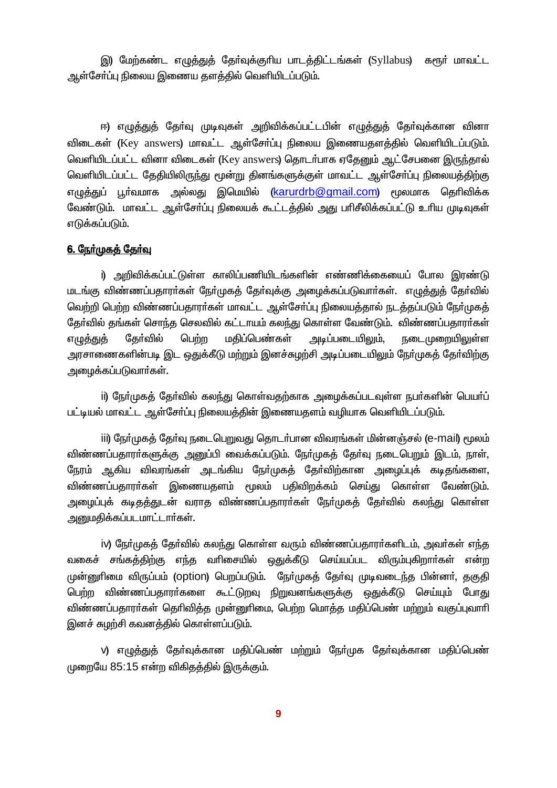இ) மேற்கண்ட எழுத்துத் தோ்வுக்குாிய பாடத்திட்டங்கள் (Syllabus) கரூா் மாவட்ட ஆள்சோ்ப்பு நிலைய இணைய தளத்தில் வெளியிடப்படும்.

ஈ) எழுத்துத் தோ்வு முடிவுகள் அறிவிக்கப்பட்டபின் எழுத்துத் தோ்வுக்கான வினா விடைகள் (Key answers) மாவட்ட ஆள்சோ்ப்பு நிலைய இணையதளத்தில் வெளியிடப்படும். வெளியிடப்பட்ட வினா விடைகள் (Key answers) கொடர்பாக ஏதேனும் ஆட்சேபனை இருந்தால் வெளியிடப்பட்ட தேதியிலிருந்து மூன்று தினங்களுக்குள் மாவட்ட ஆள்சோ்ப்பு நிலையத்திற்கு எழுத்துப் பூர்வமாக அல்லது இமெயில் (karurdrb@gmail.com) மூலமாக தெரிவிக்க வேண்டும். மாவட்ட ஆள்சோ்ப்பு நிலையக் கூட்டத்தில் அது பாிசீலிக்கப்பட்டு உாிய முடிவுகள் எடுக்கப்படும்.

### <u>6. நேர்முகத் தேர்வு</u>

i) அறிவிக்கப்பட்டுள்ள காலிப்பணியிடங்களின் எண்ணிக்கையைப் போல இாண்டு மடங்கு விண்ணப்பதாரா்கள் நோ்முகத் தோ்வுக்கு அழைக்கப்படுவாா்கள். எழுத்துத் தோ்வில் வெற்றி பெற்ற விண்ணப்பதாரர்கள் மாவட்ட ஆள்சேர்ப்பு நிலையத்தால் நடத்தப்படும் நேர்முகத் தேர்வில் தங்கள் சொந்த செலவில் கட்டாயம் கலந்து கொள்ள வேண்டும். விண்ணப்பதாரர்கள் மதிப்பெண்கள் எழுத்துத் கேர்வில் பெற்ற அடிப்படையிலும், நடைமுறையிலுள்ள அரசாணைகளின்படி இட ஒதுக்கீடு மற்றும் இனச்சுமற்சி அடிப்படையிலும் நேர்முகத் தேர்விற்கு அழைக்கப்படுவாா்கள்.

ii) நேர்முகத் தேர்வில் கலந்து கொள்வதற்காக அழைக்கப்படவுள்ள நபர்களின் பெயர்ப் பட்டியல் மாவட்ட ஆள்சோ்ப்பு நிலையத்தின் இணையதளம் வழியாக வெளியிடப்படும்.

iii) நேர்முகத் தேர்வு நடைபெறுவது தொடர்பான விவரங்கள் மின்னஞ்சல் (e-mail) மூலம் விண்ணப்பதாரா்களுக்கு அனுப்பி வைக்கப்படும். நோ்முகத் தோ்வு நடைபெறும் இடம், நாள், நேரம் ஆகிய விவரங்கள் அடங்கிய நேர்முகத் தேர்விற்கான அழைப்புக் கடிதங்களை, விண்ணப்பதாரா்கள் இணையதளம் மூலம் பதிவிறக்கம் செய்து கொள்ள வேண்டும். அழைப்புக் கடிதத்துடன் வராத விண்ணப்பதாரா்கள் நோ்முகத் தோ்வில் கலந்து கொள்ள அறுமதிக்கப்படமாட்டார்கள்.

iv) நோ்முகத் தோ்வில் கலந்து கொள்ள வரும் விண்ணப்பதாரா்களிடம், அவா்கள் எந்த வகைச் சங்கத்திற்கு எந்த வரிசையில் ஒதுக்கீடு செய்யப்பட விரும்புகிறார்கள் என்ற முன்னுரிமை விருப்பம் (Option) பெறப்படும். நேர்முகத் தேர்வு முடிவடைந்த பின்னர், தகுதி <u>பெற்ற</u> விண்ணப்பதாரா்களை கூட்டுறவு நிறுவனங்களுக்கு ஒதுக்கீடு செய்யும் போது விண்ணப்பதாரா்கள் தெரிவித்த முன்னுரிமை, பெற்ற மொத்த மதிப்பெண் மற்றும் வகுப்புவாரி இனச் சுமற்சி கவனத்தில் கொள்ளப்படும்.

v) எழுத்துத் தேர்வுக்கான மதிப்பெண் மற்றும் நேர்முக தேர்வுக்கான மதிப்பெண் முறையே 85:15 என்ற விகிதத்தில் இருக்கும்.

 $\overline{9}$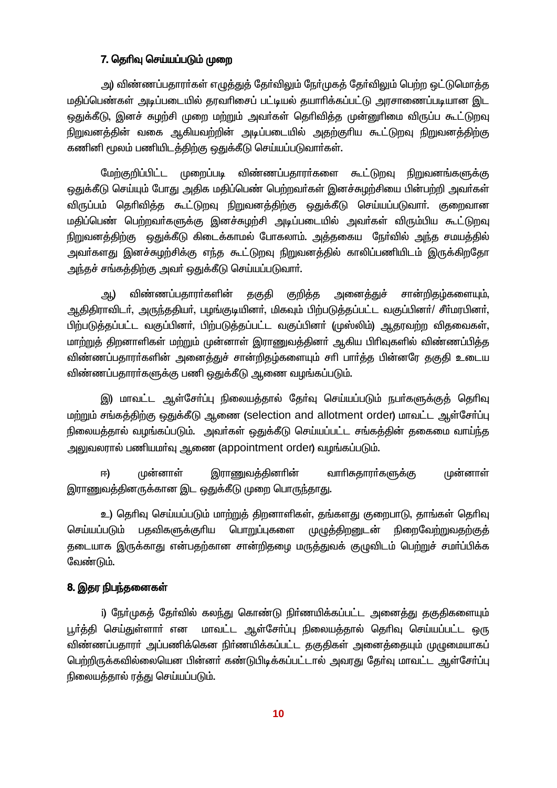### 7. தெரிவு செய்யப்படும் முறை

அ) விண்ணப்பதாரா்கள் எழுத்துத் தோ்விலும் நோ்முகத் தோ்விலும் பெற்ற ஒட்டுமொத்த மதிப்பெண்கள் அடிப்படையில் தரவரிசைப் பட்டியல் தயாரிக்கப்பட்டு அரசாணைப்படியான இட ஒதுக்கீடு, இனச் சுழற்சி முறை மற்றும் அவா்கள் தொிவித்த முன்னுாிமை விருப்ப கூட்டுறவு நிறுவனத்தின் வகை ஆகியவற்றின் அடிப்படையில் அதற்குரிய கூட்டுறவு நிறுவனத்திற்கு கணினி மூலம் பணியிடத்திற்கு ஒதுக்கீடு செய்யப்படுவார்கள்.

மேற்குறிப்பிட்ட முறைப்படி விண்ணப்பதாரா்களை கூட்டுறவு நிறுவனங்களுக்கு ஒதுக்கீடு செய்யும் போது அதிக மதிப்பெண் பெற்றவர்கள் இனச்சுழற்சியை பின்பற்றி அவர்கள் விருப்பம் தெரிவித்த கூட்டுறவு நிறுவனத்திற்கு ஒதுக்கீடு செய்யப்படுவார். குறைவான மதிப்பெண் பெற்றவர்களுக்கு இனச்சுழற்சி அடிப்படையில் அவர்கள் விரும்பிய கூட்டுறவு நிறுவனத்திற்கு ஒதுக்கீடு கிடைக்காமல் போகலாம். அத்தகைய நேர்வில் அந்த சமயத்தில் அவா்களது இனச்சுழற்சிக்கு எந்த கூட்டுறவு நிறுவனத்தில் காலிப்பணியிடம் இருக்கிறதோ அந்தச் சங்கத்திற்கு அவா் ஒதுக்கீடு செய்யப்படுவாா்.

விண்ணப்பதாரா்களின் தகுதி குறித்த சான்றிகம்களையும். அனைக்குச் அ) ஆதிதிராவிடர், அருந்ததியர், பழங்குடியினர், மிகவும் பிற்படுத்தப்பட்ட வகுப்பினர்/ சீர்மரபினர், பிற்படுத்தப்பட்ட வகுப்பினர், பிற்படுத்தப்பட்ட வகுப்பினர் (முஸ்லிம்) ஆதரவற்ற விதவைகள், மாற்றுத் திறனாளிகள் மற்றும் முன்னாள் இராணுவத்தினா் ஆகிய பிாிவுகளில் விண்ணப்பித்த விண்ணப்பதாரா்களின் அனைத்துச் சான்றிதழ்களையும் சாி பாா்த்த பின்னரே தகுதி உடைய விண்ணப்பதாரா்களுக்கு பணி ஒதுக்கீடு ஆணை வழங்கப்படும்.

இ) மாவட்ட ஆள்சோ்ப்பு நிலையத்தால் தோ்வு செய்யப்படும் நபா்களுக்குத் தொிவு மற்றும் சங்கத்திற்கு ஒதுக்கீடு ஆணை (selection and allotment order) மாவட்ட ஆள்சோ்ப்பு நிலையத்தால் வழங்கப்படும். அவர்கள் ஒதுக்கீடு செய்யப்பட்ட சங்கத்தின் தகைமை வாய்ந்த அலுவலரால் பணியமா்வு ஆணை (appointment order) வழங்கப்படும்.

முன்னாள் இராணுவத்தினரின் வாரிசுதாரா்களுக்கு முன்னாள் 曱) இராணுவத்தினருக்கான இட ஒதுக்கீடு முறை பொருந்தாது.

உ) தெரிவு செய்யப்படும் மாற்றுத் திறனாளிகள், தங்களது குறைபாடு, தாங்கள் தெரிவு செய்யப்படும் பதவிகளுக்குரிய பொறுப்புகளை முழுத்திறனுடன் ரிறைவேற்றுவகற்கு<del>க்</del> தடையாக இருக்காது என்பதற்கான சான்றிதழை மருத்துவக் குழுவிடம் பெற்றுச் சமா்ப்பிக்க வேண்டும்.

### 8. இதர நிபந்தனைகள்

i) நோ்முகத் தோ்வில் கலந்து கொண்டு நிா்ணயிக்கப்பட்ட அனைத்து தகுதிகளையும் பூர்த்தி செய்துள்ளார் என மாவட்ட ஆள்சேர்ப்பு நிலையத்தால் தெரிவு செய்யப்பட்ட ஒரு விண்ணப்பதாரா் அப்பணிக்கென நிா்ணயிக்கப்பட்ட தகுதிகள் அனைத்தையும் முழுமையாகப் பெற்றிருக்கவில்லையென பின்னர் கண்டுபிடிக்கப்பட்டால் அவரது தேர்வு மாவட்ட ஆள்சேர்ப்பு நிலையத்தால் ரத்து செய்யப்படும்.